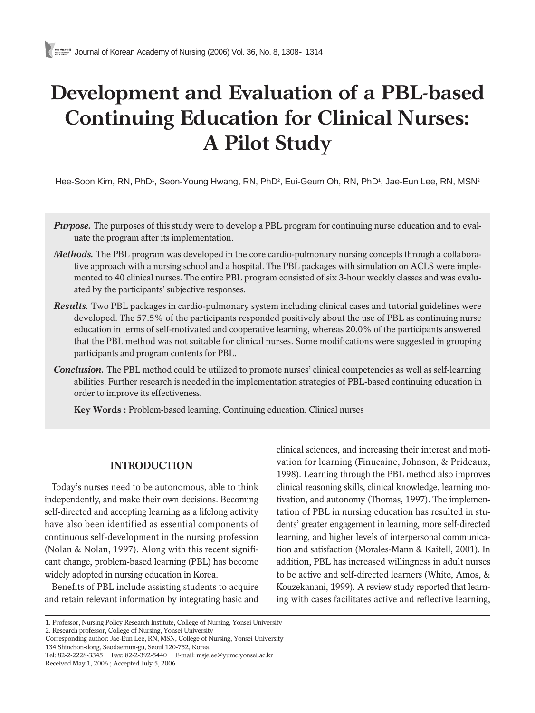# **Development and Evaluation of a PBL-based Continuing Education for Clinical Nurses: A Pilot Study**

Hee-Soon Kim, RN, PhD', Seon-Young Hwang, RN, PhD<sup>2</sup>, Eui-Geum Oh, RN, PhD', Jae-Eun Lee, RN, MSN<sup>2</sup>

- *Purpose.* The purposes of this study were to develop a PBL program for continuing nurse education and to evaluate the program after its implementation.
- *Methods.* The PBL program was developed in the core cardio-pulmonary nursing concepts through a collaborative approach with a nursing school and a hospital. The PBL packages with simulation on ACLS were implemented to 40 clinical nurses. The entire PBL program consisted of six 3-hour weekly classes and was evaluated by the participants' subjective responses.
- *Results.* Two PBL packages in cardio-pulmonary system including clinical cases and tutorial guidelines were developed. The 57.5% of the participants responded positively about the use of PBL as continuing nurse education in terms of self-motivated and cooperative learning, whereas 20.0% of the participants answered that the PBL method was not suitable for clinical nurses. Some modifications were suggested in grouping participants and program contents for PBL.
- *Conclusion.* The PBL method could be utilized to promote nurses' clinical competencies as well as self-learning abilities. Further research is needed in the implementation strategies of PBL-based continuing education in order to improve its effectiveness.

**Key Words :** Problem-based learning, Continuing education, Clinical nurses

# **INTRODUCTION**

Today's nurses need to be autonomous, able to think independently, and make their own decisions. Becoming self-directed and accepting learning as a lifelong activity have also been identified as essential components of continuous self-development in the nursing profession (Nolan & Nolan, 1997). Along with this recent significant change, problem-based learning (PBL) has become widely adopted in nursing education in Korea.

Benefits of PBL include assisting students to acquire and retain relevant information by integrating basic and clinical sciences, and increasing their interest and motivation for learning (Finucaine, Johnson, & Prideaux, 1998). Learning through the PBL method also improves clinical reasoning skills, clinical knowledge, learning motivation, and autonomy (Thomas, 1997). The implementation of PBL in nursing education has resulted in students' greater engagement in learning, more self-directed learning, and higher levels of interpersonal communication and satisfaction (Morales-Mann & Kaitell, 2001). In addition, PBL has increased willingness in adult nurses to be active and self-directed learners (White, Amos, & Kouzekanani, 1999). A review study reported that learning with cases facilitates active and reflective learning,

<sup>1.</sup> Professor, Nursing Policy Research Institute, College of Nursing, Yonsei University

<sup>2.</sup> Research professor, College of Nursing, Yonsei University

Corresponding author: Jae-Eun Lee, RN, MSN, College of Nursing, Yonsei University 134 Shinchon-dong, Seodaemun-gu, Seoul 120-752, Korea.

Tel: 82-2-2228-3345 Fax: 82-2-392-5440 E-mail: msjelee@yumc.yonsei.ac.kr Received May 1, 2006 ; Accepted July 5, 2006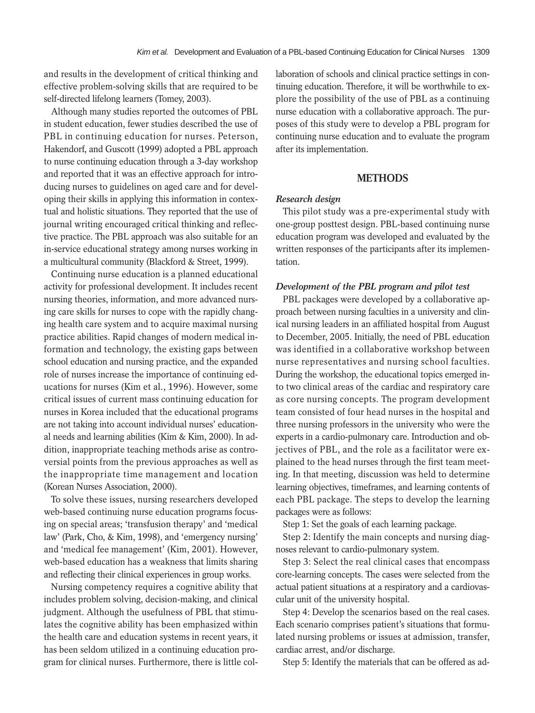and results in the development of critical thinking and effective problem-solving skills that are required to be self-directed lifelong learners (Tomey, 2003).

Although many studies reported the outcomes of PBL in student education, fewer studies described the use of PBL in continuing education for nurses. Peterson, Hakendorf, and Guscott (1999) adopted a PBL approach to nurse continuing education through a 3-day workshop and reported that it was an effective approach for introducing nurses to guidelines on aged care and for developing their skills in applying this information in contextual and holistic situations. They reported that the use of journal writing encouraged critical thinking and reflective practice. The PBL approach was also suitable for an in-service educational strategy among nurses working in a multicultural community (Blackford & Street, 1999).

Continuing nurse education is a planned educational activity for professional development. It includes recent nursing theories, information, and more advanced nursing care skills for nurses to cope with the rapidly changing health care system and to acquire maximal nursing practice abilities. Rapid changes of modern medical information and technology, the existing gaps between school education and nursing practice, and the expanded role of nurses increase the importance of continuing educations for nurses (Kim et al., 1996). However, some critical issues of current mass continuing education for nurses in Korea included that the educational programs are not taking into account individual nurses' educational needs and learning abilities (Kim & Kim, 2000). In addition, inappropriate teaching methods arise as controversial points from the previous approaches as well as the inappropriate time management and location (Korean Nurses Association, 2000).

To solve these issues, nursing researchers developed web-based continuing nurse education programs focusing on special areas; 'transfusion therapy' and 'medical law' (Park, Cho, & Kim, 1998), and 'emergency nursing' and 'medical fee management' (Kim, 2001). However, web-based education has a weakness that limits sharing and reflecting their clinical experiences in group works.

Nursing competency requires a cognitive ability that includes problem solving, decision-making, and clinical judgment. Although the usefulness of PBL that stimulates the cognitive ability has been emphasized within the health care and education systems in recent years, it has been seldom utilized in a continuing education program for clinical nurses. Furthermore, there is little collaboration of schools and clinical practice settings in continuing education. Therefore, it will be worthwhile to explore the possibility of the use of PBL as a continuing nurse education with a collaborative approach. The purposes of this study were to develop a PBL program for continuing nurse education and to evaluate the program after its implementation.

## **METHODS**

## *Research design*

This pilot study was a pre-experimental study with one-group posttest design. PBL-based continuing nurse education program was developed and evaluated by the written responses of the participants after its implementation.

### *Development of the PBL program and pilot test*

PBL packages were developed by a collaborative approach between nursing faculties in a university and clinical nursing leaders in an affiliated hospital from August to December, 2005. Initially, the need of PBL education was identified in a collaborative workshop between nurse representatives and nursing school faculties. During the workshop, the educational topics emerged into two clinical areas of the cardiac and respiratory care as core nursing concepts. The program development team consisted of four head nurses in the hospital and three nursing professors in the university who were the experts in a cardio-pulmonary care. Introduction and objectives of PBL, and the role as a facilitator were explained to the head nurses through the first team meeting. In that meeting, discussion was held to determine learning objectives, timeframes, and learning contents of each PBL package. The steps to develop the learning packages were as follows:

Step 1: Set the goals of each learning package.

Step 2: Identify the main concepts and nursing diagnoses relevant to cardio-pulmonary system.

Step 3: Select the real clinical cases that encompass core-learning concepts. The cases were selected from the actual patient situations at a respiratory and a cardiovascular unit of the university hospital.

Step 4: Develop the scenarios based on the real cases. Each scenario comprises patient's situations that formulated nursing problems or issues at admission, transfer, cardiac arrest, and/or discharge.

Step 5: Identify the materials that can be offered as ad-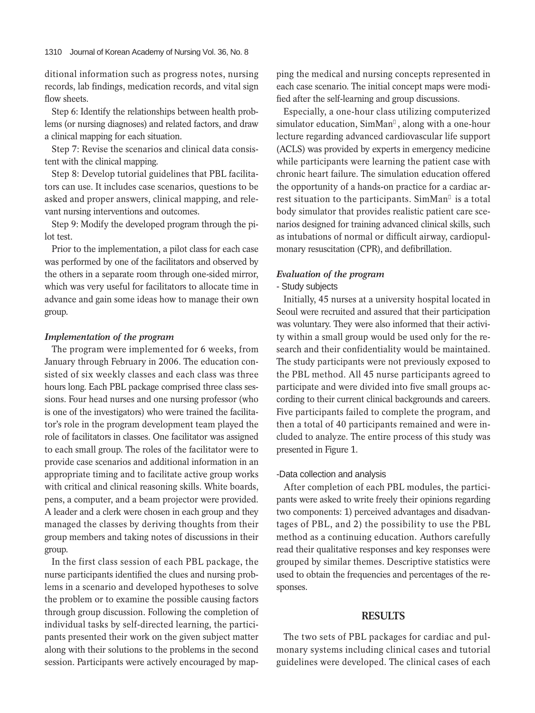ditional information such as progress notes, nursing records, lab findings, medication records, and vital sign flow sheets.

Step 6: Identify the relationships between health problems (or nursing diagnoses) and related factors, and draw a clinical mapping for each situation.

Step 7: Revise the scenarios and clinical data consistent with the clinical mapping.

Step 8: Develop tutorial guidelines that PBL facilitators can use. It includes case scenarios, questions to be asked and proper answers, clinical mapping, and relevant nursing interventions and outcomes.

Step 9: Modify the developed program through the pilot test.

Prior to the implementation, a pilot class for each case was performed by one of the facilitators and observed by the others in a separate room through one-sided mirror, which was very useful for facilitators to allocate time in advance and gain some ideas how to manage their own group.

# *Implementation of the program*

The program were implemented for 6 weeks, from January through February in 2006. The education consisted of six weekly classes and each class was three hours long. Each PBL package comprised three class sessions. Four head nurses and one nursing professor (who is one of the investigators) who were trained the facilitator's role in the program development team played the role of facilitators in classes. One facilitator was assigned to each small group. The roles of the facilitator were to provide case scenarios and additional information in an appropriate timing and to facilitate active group works with critical and clinical reasoning skills. White boards, pens, a computer, and a beam projector were provided. A leader and a clerk were chosen in each group and they managed the classes by deriving thoughts from their group members and taking notes of discussions in their group.

In the first class session of each PBL package, the nurse participants identified the clues and nursing problems in a scenario and developed hypotheses to solve the problem or to examine the possible causing factors through group discussion. Following the completion of individual tasks by self-directed learning, the participants presented their work on the given subject matter along with their solutions to the problems in the second session. Participants were actively encouraged by mapping the medical and nursing concepts represented in each case scenario. The initial concept maps were modified after the self-learning and group discussions.

Especially, a one-hour class utilizing computerized simulator education, SimMan , along with a one-hour lecture regarding advanced cardiovascular life support (ACLS) was provided by experts in emergency medicine while participants were learning the patient case with chronic heart failure. The simulation education offered the opportunity of a hands-on practice for a cardiac arrest situation to the participants. SimMan is a total body simulator that provides realistic patient care scenarios designed for training advanced clinical skills, such as intubations of normal or difficult airway, cardiopulmonary resuscitation (CPR), and defibrillation.

#### *Evaluation of the program*

## - Study subjects

Initially, 45 nurses at a university hospital located in Seoul were recruited and assured that their participation was voluntary. They were also informed that their activity within a small group would be used only for the research and their confidentiality would be maintained. The study participants were not previously exposed to the PBL method. All 45 nurse participants agreed to participate and were divided into five small groups according to their current clinical backgrounds and careers. Five participants failed to complete the program, and then a total of 40 participants remained and were included to analyze. The entire process of this study was presented in Figure 1.

### -Data collection and analysis

After completion of each PBL modules, the participants were asked to write freely their opinions regarding two components: 1) perceived advantages and disadvantages of PBL, and 2) the possibility to use the PBL method as a continuing education. Authors carefully read their qualitative responses and key responses were grouped by similar themes. Descriptive statistics were used to obtain the frequencies and percentages of the responses.

# **RESULTS**

The two sets of PBL packages for cardiac and pulmonary systems including clinical cases and tutorial guidelines were developed. The clinical cases of each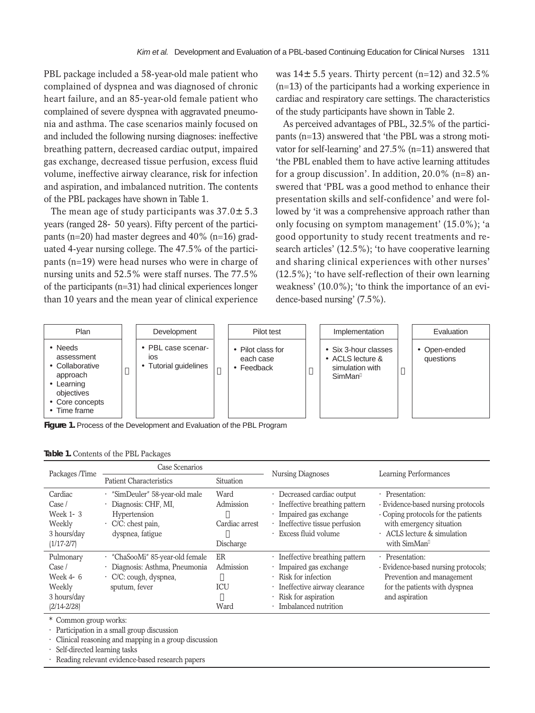PBL package included a 58-year-old male patient who complained of dyspnea and was diagnosed of chronic heart failure, and an 85-year-old female patient who complained of severe dyspnea with aggravated pneumonia and asthma. The case scenarios mainly focused on and included the following nursing diagnoses: ineffective breathing pattern, decreased cardiac output, impaired gas exchange, decreased tissue perfusion, excess fluid volume, ineffective airway clearance, risk for infection and aspiration, and imbalanced nutrition. The contents of the PBL packages have shown in Table 1.

The mean age of study participants was  $37.0 \pm 5.3$ years (ranged 28-50 years). Fifty percent of the participants (n=20) had master degrees and  $40\%$  (n=16) graduated 4-year nursing college. The 47.5% of the participants (n=19) were head nurses who were in charge of nursing units and 52.5% were staff nurses. The 77.5% of the participants (n=31) had clinical experiences longer than 10 years and the mean year of clinical experience was  $14\pm5.5$  years. Thirty percent (n=12) and 32.5% (n=13) of the participants had a working experience in cardiac and respiratory care settings. The characteristics of the study participants have shown in Table 2.

As perceived advantages of PBL, 32.5% of the participants (n=13) answered that 'the PBL was a strong motivator for self-learning' and 27.5% (n=11) answered that 'the PBL enabled them to have active learning attitudes for a group discussion'. In addition,  $20.0\%$  (n=8) answered that 'PBL was a good method to enhance their presentation skills and self-confidence' and were followed by 'it was a comprehensive approach rather than only focusing on symptom management' (15.0%); 'a good opportunity to study recent treatments and research articles' (12.5%); 'to have cooperative learning and sharing clinical experiences with other nurses' (12.5%); 'to have self-reflection of their own learning weakness' (10.0%); 'to think the importance of an evidence-based nursing' (7.5%).

| Plan                                                                                                                | Development                                               | Pilot test                                   | Implementation                                                              | Evaluation                |
|---------------------------------------------------------------------------------------------------------------------|-----------------------------------------------------------|----------------------------------------------|-----------------------------------------------------------------------------|---------------------------|
| • Needs<br>assessment<br>• Collaborative<br>approach<br>• Learning<br>objectives<br>• Core concepts<br>• Time frame | • PBL case scenar-<br><b>IOS</b><br>• Tutorial guidelines | • Pilot class for<br>each case<br>• Feedback | • Six 3-hour classes<br>$\cdot$ ACLS lecture &<br>simulation with<br>SimMan | • Open-ended<br>questions |

**Figure 1.** Process of the Development and Evaluation of the PBL Program

|  |  |  |  |  |  | Table 1. Contents of the PBL Packages |
|--|--|--|--|--|--|---------------------------------------|
|--|--|--|--|--|--|---------------------------------------|

| Packages /Time                                                                | Case Scenarios                                                                                                  |                                                  | Nursing Diagnoses                                                                                                                                               | Learning Performances                                                                                                                                                        |  |
|-------------------------------------------------------------------------------|-----------------------------------------------------------------------------------------------------------------|--------------------------------------------------|-----------------------------------------------------------------------------------------------------------------------------------------------------------------|------------------------------------------------------------------------------------------------------------------------------------------------------------------------------|--|
|                                                                               | <b>Patient Characteristics</b>                                                                                  | <b>Situation</b>                                 |                                                                                                                                                                 |                                                                                                                                                                              |  |
| Cardiac<br>Case /<br>Week 1-3<br>Weekly<br>3 hours/day<br>$(1/17 - 2/7)$      | · "SimDeuler" 58-year-old male<br>Diagnosis: CHF, MI,<br>Hypertension<br>· C/C: chest pain,<br>dyspnea, fatigue | Ward<br>Admission<br>Cardiac arrest<br>Discharge | Decreased cardiac output<br>Ineffective breathing pattern<br>Impaired gas exchange<br>Ineffective tissue perfusion<br>Excess fluid volume                       | · Presentation:<br>- Evidence-based nursing protocols<br>- Coping protocols for the patients<br>with emergency situation<br>$\cdot$ ACLS lecture & simulation<br>with SimMan |  |
| Pulmonary<br>Case /<br>Week $4-6$<br>Weekly<br>3 hours/day<br>$(2/14 - 2/28)$ | ChaSooMi" 85-year-old female<br>Diagnosis: Asthma, Pneumonia<br>· C/C: cough, dyspnea,<br>sputum, fever         | ER<br>Admission<br><b>ICU</b><br>Ward            | · Ineffective breathing pattern<br>Impaired gas exchange<br>· Risk for infection<br>Ineffective airway clearance<br>Risk for aspiration<br>Imbalanced nutrition | · Presentation:<br>- Evidence-based nursing protocols;<br>Prevention and management<br>for the patients with dyspnea<br>and aspiration                                       |  |

\*Common group works:

·Participation in a small group discussion

Clinical reasoning and mapping in a group discussion

Self-directed learning tasks

Reading relevant evidence-based research papers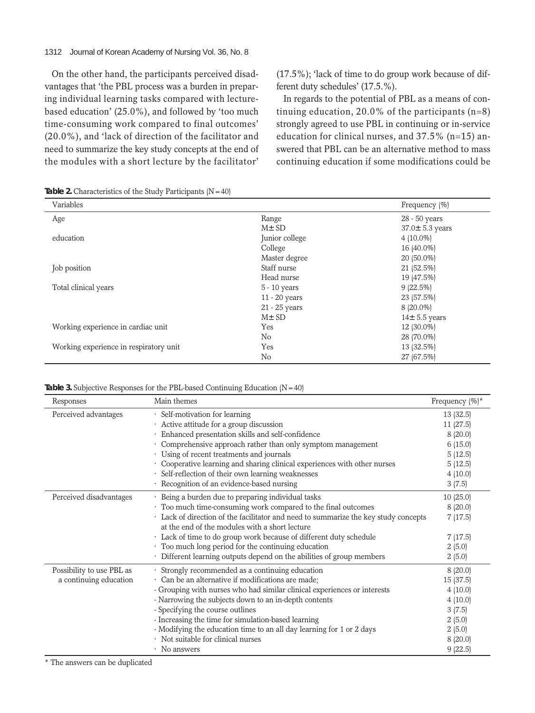#### 1312 Journal of Korean Academy of Nursing Vol. 36, No. 8

On the other hand, the participants perceived disadvantages that 'the PBL process was a burden in preparing individual learning tasks compared with lecturebased education' (25.0%), and followed by 'too much time-consuming work compared to final outcomes' (20.0%), and 'lack of direction of the facilitator and need to summarize the key study concepts at the end of the modules with a short lecture by the facilitator'

(17.5%); 'lack of time to do group work because of different duty schedules' (17.5.%).

In regards to the potential of PBL as a means of continuing education, 20.0% of the participants  $(n=8)$ strongly agreed to use PBL in continuing or in-service education for clinical nurses, and 37.5% (n=15) answered that PBL can be an alternative method to mass continuing education if some modifications could be

Table 2. Characteristics of the Study Participants (N=40)

| Variables                              |                | Frequency (%)        |
|----------------------------------------|----------------|----------------------|
| Age                                    | Range          | 28 - 50 years        |
|                                        | $M\pm SD$      | $37.0 \pm 5.3$ years |
| education                              | Junior college | $4(10.0\%)$          |
|                                        | College        | 16 (40.0%)           |
|                                        | Master degree  | 20 (50.0%)           |
| Job position                           | Staff nurse    | 21 (52.5%)           |
|                                        | Head nurse     | 19 (47.5%)           |
| Total clinical years                   | $5 - 10$ years | $9(22.5\%)$          |
|                                        | 11 - 20 years  | 23 (57.5%)           |
|                                        | 21 - 25 years  | $8(20.0\%)$          |
|                                        | $M\pm SD$      | $14\pm 5.5$ years    |
| Working experience in cardiac unit     | Yes            | 12 (30.0%)           |
|                                        | No             | 28 (70.0%)           |
| Working experience in respiratory unit | Yes            | 13 (32.5%)           |
|                                        | No             | 27 (67.5%)           |

#### **Table 3.** Subjective Responses for the PBL-based Continuing Education (N=40)

| Responses                 | Main themes                                                                       | Frequency $(\%)^*$ |
|---------------------------|-----------------------------------------------------------------------------------|--------------------|
| Perceived advantages      | Self-motivation for learning                                                      | 13 (32.5)          |
|                           | Active attitude for a group discussion                                            | 11 (27.5)          |
|                           | Enhanced presentation skills and self-confidence                                  | 8(20.0)            |
|                           | Comprehensive approach rather than only symptom management                        | 6(15.0)            |
|                           | Using of recent treatments and journals                                           | 5(12.5)            |
|                           | Cooperative learning and sharing clinical experiences with other nurses           | 5(12.5)            |
|                           | Self-reflection of their own learning weaknesses                                  | 4(10.0)            |
|                           | Recognition of an evidence-based nursing                                          | 3(7.5)             |
| Perceived disadvantages   | Being a burden due to preparing individual tasks                                  | 10(25.0)           |
|                           | · Too much time-consuming work compared to the final outcomes                     | 8(20.0)            |
|                           | Lack of direction of the facilitator and need to summarize the key study concepts | 7(17.5)            |
|                           | at the end of the modules with a short lecture                                    |                    |
|                           | Lack of time to do group work because of different duty schedule                  | 7(17.5)            |
|                           | Too much long period for the continuing education                                 | 2(5.0)             |
|                           | · Different learning outputs depend on the abilities of group members             | 2(5.0)             |
| Possibility to use PBL as | Strongly recommended as a continuing education                                    | 8(20.0)            |
| a continuing education    | Can be an alternative if modifications are made:                                  | 15 (37.5)          |
|                           | - Grouping with nurses who had similar clinical experiences or interests          | 4(10.0)            |
|                           | - Narrowing the subjects down to an in-depth contents                             | 4(10.0)            |
|                           | - Specifying the course outlines                                                  | 3(7.5)             |
|                           | - Increasing the time for simulation-based learning                               | 2(5.0)             |
|                           | - Modifying the education time to an all day learning for 1 or 2 days             | 2(5.0)             |
|                           | · Not suitable for clinical nurses                                                | 8(20.0)            |
|                           | · No answers                                                                      | 9(22.5)            |

\* The answers can be duplicated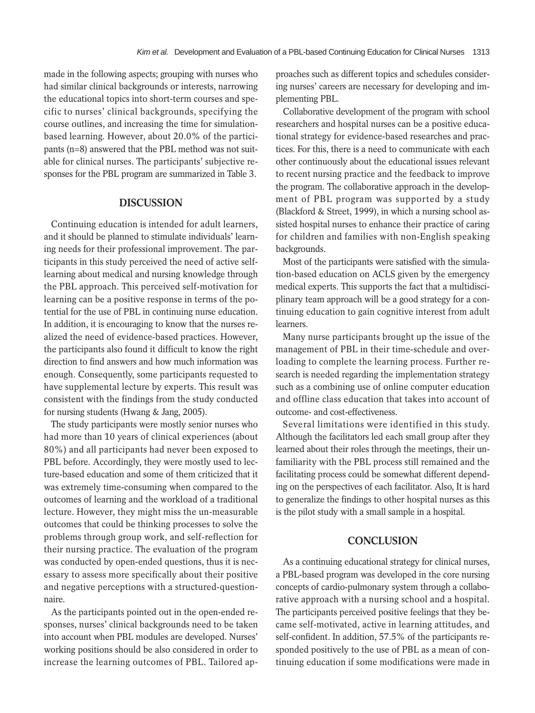made in the following aspects; grouping with nurses who had similar clinical backgrounds or interests, narrowing the educational topics into short-term courses and specific to nurses' clinical backgrounds, specifying the course outlines, and increasing the time for simulationbased learning. However, about 20.0% of the participants (n=8) answered that the PBL method was not suitable for clinical nurses. The participants' subjective responses for the PBL program are summarized in Table 3.

# **DISCUSSION**

Continuing education is intended for adult learners, and it should be planned to stimulate individuals' learning needs for their professional improvement. The participants in this study perceived the need of active selflearning about medical and nursing knowledge through the PBL approach. This perceived self-motivation for learning can be a positive response in terms of the potential for the use of PBL in continuing nurse education. In addition, it is encouraging to know that the nurses realized the need of evidence-based practices. However, the participants also found it difficult to know the right direction to find answers and how much information was enough. Consequently, some participants requested to have supplemental lecture by experts. This result was consistent with the findings from the study conducted for nursing students (Hwang & Jang, 2005).

The study participants were mostly senior nurses who had more than 10 years of clinical experiences (about 80%) and all participants had never been exposed to PBL before. Accordingly, they were mostly used to lecture-based education and some of them criticized that it was extremely time-consuming when compared to the outcomes of learning and the workload of a traditional lecture. However, they might miss the un-measurable outcomes that could be thinking processes to solve the problems through group work, and self-reflection for their nursing practice. The evaluation of the program was conducted by open-ended questions, thus it is necessary to assess more specifically about their positive and negative perceptions with a structured-questionnaire.

As the participants pointed out in the open-ended responses, nurses' clinical backgrounds need to be taken into account when PBL modules are developed. Nurses' working positions should be also considered in order to increase the learning outcomes of PBL. Tailored approaches such as different topics and schedules considering nurses' careers are necessary for developing and implementing PBL.

Collaborative development of the program with school researchers and hospital nurses can be a positive educational strategy for evidence-based researches and practices. For this, there is a need to communicate with each other continuously about the educational issues relevant to recent nursing practice and the feedback to improve the program. The collaborative approach in the development of PBL program was supported by a study (Blackford & Street, 1999), in which a nursing school assisted hospital nurses to enhance their practice of caring for children and families with non-English speaking backgrounds.

Most of the participants were satisfied with the simulation-based education on ACLS given by the emergency medical experts. This supports the fact that a multidisciplinary team approach will be a good strategy for a continuing education to gain cognitive interest from adult learners.

Many nurse participants brought up the issue of the management of PBL in their time-schedule and overloading to complete the learning process. Further research is needed regarding the implementation strategy such as a combining use of online computer education and offline class education that takes into account of outcome- and cost-effectiveness.

Several limitations were identified in this study. Although the facilitators led each small group after they learned about their roles through the meetings, their unfamiliarity with the PBL process still remained and the facilitating process could be somewhat different depending on the perspectives of each facilitator. Also, It is hard to generalize the findings to other hospital nurses as this is the pilot study with a small sample in a hospital.

# **CONCLUSION**

As a continuing educational strategy for clinical nurses, a PBL-based program was developed in the core nursing concepts of cardio-pulmonary system through a collaborative approach with a nursing school and a hospital. The participants perceived positive feelings that they became self-motivated, active in learning attitudes, and self-confident. In addition, 57.5% of the participants responded positively to the use of PBL as a mean of continuing education if some modifications were made in